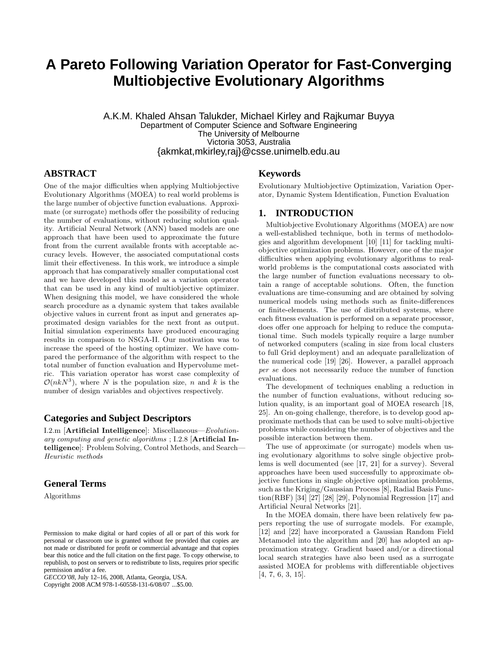# **A Pareto Following Variation Operator for Fast-Converging Multiobjective Evolutionary Algorithms**

A.K.M. Khaled Ahsan Talukder, Michael Kirley and Rajkumar Buyya Department of Computer Science and Software Engineering The University of Melbourne Victoria 3053, Australia {akmkat,mkirley,raj}@csse.unimelb.edu.au

## **ABSTRACT**

One of the major difficulties when applying Multiobjective Evolutionary Algorithms (MOEA) to real world problems is the large number of objective function evaluations. Approximate (or surrogate) methods offer the possibility of reducing the number of evaluations, without reducing solution quality. Artificial Neural Network (ANN) based models are one approach that have been used to approximate the future front from the current available fronts with acceptable accuracy levels. However, the associated computational costs limit their effectiveness. In this work, we introduce a simple approach that has comparatively smaller computational cost and we have developed this model as a variation operator that can be used in any kind of multiobjective optimizer. When designing this model, we have considered the whole search procedure as a dynamic system that takes available objective values in current front as input and generates approximated design variables for the next front as output. Initial simulation experiments have produced encouraging results in comparison to NSGA-II. Our motivation was to increase the speed of the hosting optimizer. We have compared the performance of the algorithm with respect to the total number of function evaluation and Hypervolume metric. This variation operator has worst case complexity of  $\mathcal{O}(nkN^3)$ , where N is the population size, n and k is the number of design variables and objectives respectively.

## **Categories and Subject Descriptors**

I.2.m [Artificial Intelligence]: Miscellaneous—Evolutionary computing and genetic algorithms ; I.2.8 [Artificial Intelligence]: Problem Solving, Control Methods, and Search— Heuristic methods

## **General Terms**

Algorithms

Copyright 2008 ACM 978-1-60558-131-6/08/07 ...\$5.00.

## **Keywords**

Evolutionary Multiobjective Optimization, Variation Operator, Dynamic System Identification, Function Evaluation

#### **1. INTRODUCTION**

Multiobjective Evolutionary Algorithms (MOEA) are now a well-established technique, both in terms of methodologies and algorithm development [10] [11] for tackling multiobjective optimization problems. However, one of the major difficulties when applying evolutionary algorithms to realworld problems is the computational costs associated with the large number of function evaluations necessary to obtain a range of acceptable solutions. Often, the function evaluations are time-consuming and are obtained by solving numerical models using methods such as finite-differences or finite-elements. The use of distributed systems, where each fitness evaluation is performed on a separate processor, does offer one approach for helping to reduce the computational time. Such models typically require a large number of networked computers (scaling in size from local clusters to full Grid deployment) and an adequate parallelization of the numerical code [19] [26]. However, a parallel approach per se does not necessarily reduce the number of function evaluations.

The development of techniques enabling a reduction in the number of function evaluations, without reducing solution quality, is an important goal of MOEA research [18, 25]. An on-going challenge, therefore, is to develop good approximate methods that can be used to solve multi-objective problems while considering the number of objectives and the possible interaction between them.

The use of approximate (or surrogate) models when using evolutionary algorithms to solve single objective problems is well documented (see [17, 21] for a survey). Several approaches have been used successfully to approximate objective functions in single objective optimization problems, such as the Kriging/Gaussian Process [8], Radial Basis Function(RBF) [34] [27] [28] [29], Polynomial Regression [17] and Artificial Neural Networks [21].

In the MOEA domain, there have been relatively few papers reporting the use of surrogate models. For example, [12] and [22] have incorporated a Gaussian Random Field Metamodel into the algorithm and [20] has adopted an approximation strategy. Gradient based and/or a directional local search strategies have also been used as a surrogate assisted MOEA for problems with differentiable objectives [4, 7, 6, 3, 15].

Permission to make digital or hard copies of all or part of this work for personal or classroom use is granted without fee provided that copies are not made or distributed for profit or commercial advantage and that copies bear this notice and the full citation on the first page. To copy otherwise, to republish, to post on servers or to redistribute to lists, requires prior specific permission and/or a fee.

*GECCO'08,* July 12–16, 2008, Atlanta, Georgia, USA.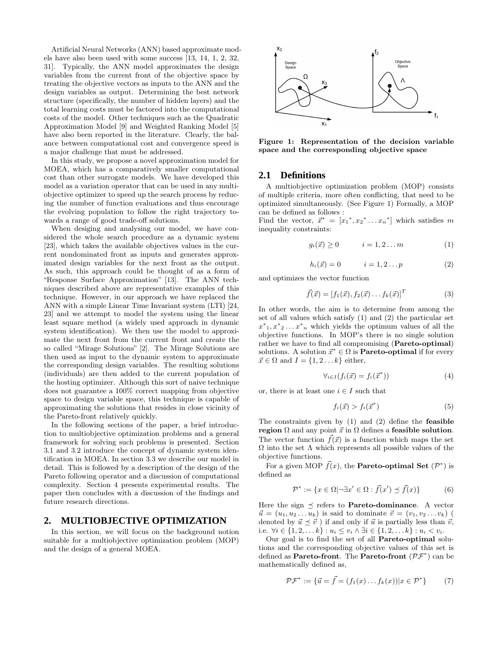Artificial Neural Networks (ANN) based approximate models have also been used with some success [13, 14, 1, 2, 32, 31]. Typically, the ANN model approximates the design variables from the current front of the objective space by treating the objective vectors as inputs to the ANN and the design variables as output. Determining the best network structure (specifically, the number of hidden layers) and the total learning costs must be factored into the computational costs of the model. Other techniques such as the Quadratic Approximation Model [9] and Weighted Ranking Model [5] have also been reported in the literature. Clearly, the balance between computational cost and convergence speed is a major challenge that must be addressed.

In this study, we propose a novel approximation model for MOEA, which has a comparatively smaller computational cost than other surrogate models. We have developed this model as a variation operator that can be used in any multiobjective optimizer to speed up the search process by reducing the number of function evaluations and thus encourage the evolving population to follow the right trajectory towards a range of good trade-off solutions.

When desiging and analysing our model, we have considered the whole search procedure as a dynamic system [23], which takes the available objectives values in the current nondominated front as inputs and generates approximated design variables for the next front as the output. As such, this approach could be thought of as a form of "Response Surface Approximation" [13]. The ANN techniques described above are representative examples of this technique. However, in our approach we have replaced the ANN with a simple Linear Time Invariant system (LTI) [24, 23] and we attempt to model the system using the linear least square method (a widely used approach in dynamic system identification). We then use the model to approximate the next front from the current front and create the so called "Mirage Solutions" [2]. The Mirage Solutions are then used as input to the dynamic system to approximate the corresponding design variables. The resulting solutions (individuals) are then added to the current population of the hosting optimizer. Although this sort of naive technique does not guarantee a 100% correct mapping from objective space to design variable space, this technique is capable of approximating the solutions that resides in close vicinity of the Pareto-front relatively quickly.

In the following sections of the paper, a brief introduction to multiobjective optimization problems and a general framework for solving such problems is presented. Section 3.1 and 3.2 introduce the concept of dynamic system identification in MOEA. In section 3.3 we describe our model in detail. This is followed by a description of the design of the Pareto following operator and a discussion of computational complexity. Section 4 presents experimental results. The paper then concludes with a discussion of the findings and future research directions.

## **2. MULTIOBJECTIVE OPTIMIZATION**

In this section, we will focus on the background notion suitable for a multiobjective optimization problem (MOP) and the design of a general MOEA.



Figure 1: Representation of the decision variable space and the corresponding objective space

### **2.1 Definitions**

A multiobjective optimization problem (MOP) consists of multiple criteria, more often conflicting, that need to be optimized simultaneously. (See Figure 1) Formally, a MOP can be defined as follows :

Find the vector,  $\vec{x}^* = [x_1^*, x_2^* \dots x_n^*]$  which satisfies m inequality constraints:

$$
g_i(\vec{x}) \ge 0 \qquad i = 1, 2 \dots m \tag{1}
$$

$$
h_i(\vec{x}) = 0 \qquad i = 1, 2 \dots p \tag{2}
$$

and optimizes the vector function

$$
\vec{f}(\vec{x}) = [f_1(\vec{x}), f_2(\vec{x}) \dots f_k(\vec{x})]^T
$$
\n(3)

In other words, the aim is to determine from among the set of all values which satisfy (1) and (2) the particular set  $x^*$ <sub>1</sub>,  $x^*$ <sub>2</sub> ...  $x^*$ <sub>n</sub> which yields the optimum values of all the objective functions. In MOP's there is no single solution rather we have to find all compromising (Pareto-optimal) solutions. A solution  $\vec{x}^* \in \Omega$  is **Pareto-optimal** if for every  $\vec{x} \in \Omega$  and  $I = \{1, 2, \ldots k\}$  either,

$$
\forall_{i \in I} (f_i(\vec{x}) = f_i(\vec{x}^*)) \tag{4}
$$

or, there is at least one  $i \in I$  such that

$$
f_i(\vec{x}) > f_i(\vec{x}^*)
$$
\n<sup>(5)</sup>

The constraints given by  $(1)$  and  $(2)$  define the **feasible** region  $\Omega$  and any point  $\vec{x}$  in  $\Omega$  defines a feasible solution. The vector function  $\vec{f}(\vec{x})$  is a function which maps the set  $Ω$  into the set  $Λ$  which represents all possible values of the objective functions.

For a given MOP  $\vec{f}(x)$ , the **Pareto-optimal Set**  $(\mathcal{P}^*)$  is defined as

$$
\mathcal{P}^* := \{ x \in \Omega | \neg \exists x' \in \Omega : \vec{f}(x') \preceq \vec{f}(x) \} \tag{6}
$$

Here the sign  $\preceq$  refers to **Pareto-dominance**. A vector  $\vec{u} = (u_1, u_2 \dots u_k)$  is said to dominate  $\vec{v} = (v_1, v_2 \dots v_k)$  ( denoted by  $\vec{u} \preceq \vec{v}$  ) if and only if  $\vec{u}$  is partially less than  $\vec{v}$ , i.e.  $\forall i \in \{1, 2, \ldots k\} : u_i \le v_i \land \exists i \in \{1, 2, \ldots k\} : u_i < v_i$ .

Our goal is to find the set of all Pareto-optimal solutions and the corresponding objective values of this set is defined as **Pareto-front**. The **Pareto-front**  $(\mathcal{PF}^*)$  can be mathematically defined as,

$$
\mathcal{PF}^* := \{ \vec{u} = \vec{f} = (f_1(x) \dots f_k(x)) | x \in \mathcal{P}^* \}
$$
 (7)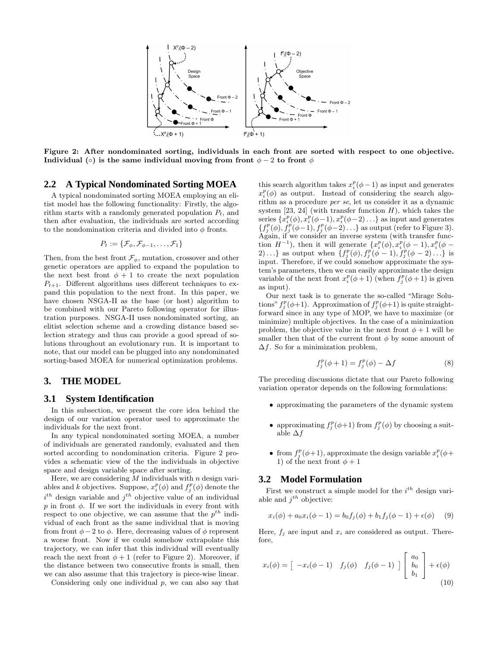

Figure 2: After nondominated sorting, individuals in each front are sorted with respect to one objective. Individual (◦) is the same individual moving from front  $\phi - 2$  to front  $\phi$ 

## **2.2 A Typical Nondominated Sorting MOEA**

A typical nondominated sorting MOEA employing an elitist model has the following functionality: Firstly, the algorithm starts with a randomly generated population  $P_t$ , and then after evaluation, the individuals are sorted according to the nondomination criteria and divided into  $\phi$  fronts.

$$
P_t:=\{\mathcal{F}_\phi,\mathcal{F}_{\phi-1},\ldots,\mathcal{F}_1\}
$$

Then, from the best front  $\mathcal{F}_{\phi}$ , mutation, crossover and other genetic operators are applied to expand the population to the next best front  $\phi + 1$  to create the next population  $P_{t+1}$ . Different algorithms uses different techniques to expand this population to the next front. In this paper, we have chosen NSGA-II as the base (or host) algorithm to be combined with our Pareto following operator for illustration purposes. NSGA-II uses nondominated sorting, an elitist selection scheme and a crowding distance based selection strategy and thus can provide a good spread of solutions throughout an evolutionary run. It is important to note, that our model can be plugged into any nondominated sorting-based MOEA for numerical optimization problems.

## **3. THE MODEL**

#### **3.1 System Identification**

In this subsection, we present the core idea behind the design of our variation operator used to approximate the individuals for the next front.

In any typical nondominated sorting MOEA, a number of individuals are generated randomly, evaluated and then sorted according to nondomination criteria. Figure 2 provides a schematic view of the the individuals in objective space and design variable space after sorting.

Here, we are considering  $M$  individuals with  $n$  design variables and k objectives. Suppose,  $x_i^p(\phi)$  and  $f_j^p(\phi)$  denote the  $i^{th}$  design variable and  $j^{th}$  objective value of an individual p in front  $\phi$ . If we sort the individuals in every front with respect to one objective, we can assume that the  $p^{th}$  individual of each front as the same individual that is moving from front  $\phi - 2$  to  $\phi$ . Here, decreasing values of  $\phi$  represent a worse front. Now if we could somehow extrapolate this trajectory, we can infer that this individual will eventually reach the next front  $\phi + 1$  (refer to Figure 2). Moreover, if the distance between two consecutive fronts is small, then we can also assume that this trajectory is piece-wise linear.

Considering only one individual  $p$ , we can also say that

this search algorithm takes  $x_i^p(\phi - 1)$  as input and generates  $x_i^p(\phi)$  as output. Instead of considering the search algorithm as a procedure per se, let us consider it as a dynamic system  $[23, 24]$  (with transfer function H), which takes the series  $\{x_i^p(\phi), x_i^p(\phi-1), x_i^p(\phi-2) \ldots\}$  as input and generates series  $\{x_i(\varphi), x_i(\varphi-1), x_i(\varphi-2) \dots\}$  as input and generates  $\{f_j^p(\phi), f_j^p(\phi-1), f_j^p(\phi-2) \dots\}$  as output (refer to Figure 3). Again, if we consider an inverse system (with transfer function  $H^{-1}$ ), then it will generate  $\{x_i^p(\phi), x_i^p(\phi-1), x_i^p(\phi-1)\}$ 2)...} as output when  $\{f_j^p(\phi), f_j^p(\phi-1), f_j^p(\phi-2) \ldots\}$  is input. Therefore, if we could somehow approximate the system's parameters, then we can easily approximate the design variable of the next front  $x_i^p(\phi+1)$  (when  $f_j^p(\phi+1)$  is given as input).

Our next task is to generate the so-called "Mirage Solutions"  $f_j^p(\phi+1)$ . Approximation of  $f_j^p(\phi+1)$  is quite straightforward since in any type of MOP, we have to maximize (or minimize) multiple objectives. In the case of a minimization problem, the objective value in the next front  $\phi + 1$  will be smaller then that of the current front  $\phi$  by some amount of  $\Delta f$ . So for a minimization problem,

$$
f_j^p(\phi + 1) = f_j^p(\phi) - \Delta f \tag{8}
$$

The preceding discussions dictate that our Pareto following variation operator depends on the following formulations:

- approximating the parameters of the dynamic system
- approximating  $f_j^p(\phi+1)$  from  $f_j^p(\phi)$  by choosing a suitable  $\Delta f$
- from  $f_j^p(\phi+1)$ , approximate the design variable  $x_i^p(\phi+1)$ 1) of the next front  $\phi + 1$

## **3.2 Model Formulation**

First we construct a simple model for the  $i^{th}$  design variable and  $j^{th}$  objective:

$$
x_i(\phi) + a_0 x_i(\phi - 1) = b_0 f_j(\phi) + b_1 f_j(\phi - 1) + \epsilon(\phi) \tag{9}
$$

Here,  $f_i$  are input and  $x_i$  are considered as output. Therefore,

$$
x_i(\phi) = \begin{bmatrix} -x_i(\phi - 1) & f_j(\phi) & f_j(\phi - 1) \end{bmatrix} \begin{bmatrix} a_0 \\ b_0 \\ b_1 \end{bmatrix} + \epsilon(\phi)
$$
\n(10)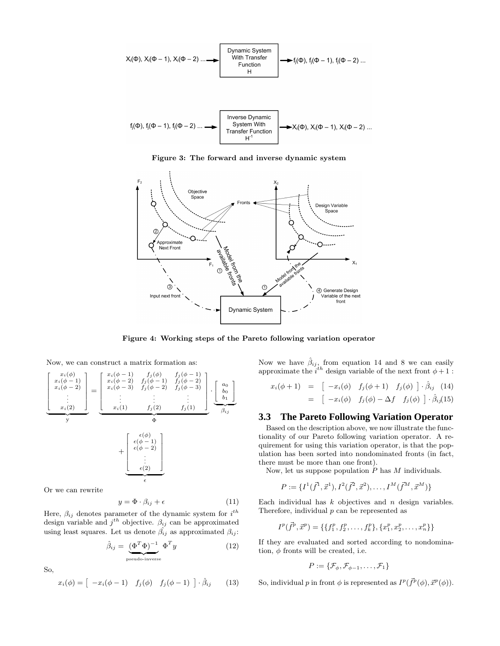

Figure 3: The forward and inverse dynamic system



Figure 4: Working steps of the Pareto following variation operator

Now, we can construct a matrix formation as:

$$
\begin{bmatrix}\n x_i(\phi) \\
x_i(\phi-1) \\
x_i(\phi-2) \\
\vdots \\
x_i(2)\n\end{bmatrix} = \begin{bmatrix}\n x_i(\phi-1) & f_j(\phi) & f_j(\phi-1) \\
x_i(\phi-2) & f_j(\phi-1) & f_j(\phi-2) \\
x_i(\phi-3) & f_j(\phi-2) & f_j(\phi-3) \\
\vdots & \vdots & \vdots \\
x_i(1) & f_j(2) & f_j(1)\n\end{bmatrix} \cdot \begin{bmatrix}\na_0 \\
b_0 \\
b_1 \\
b_1\n\end{bmatrix}
$$
\n
$$
y
$$
\n
$$
+ \begin{bmatrix}\n \epsilon(\phi) \\
\epsilon(\phi-1) \\
\epsilon(\phi-2) \\
\vdots \\
\epsilon(2)\n\end{bmatrix}
$$

Or we can rewrite

$$
y = \Phi \cdot \beta_{ij} + \epsilon \tag{11}
$$

Here,  $\beta_{ij}$  denotes parameter of the dynamic system for  $i^{th}$ design variable and  $j^{th}$  objective.  $\beta_{ij}$  can be approximated using least squares. Let us denote  $\hat{\beta}_{ij}$  as approximated  $\beta_{ij}$ :

$$
\hat{\beta}_{ij} = \underbrace{(\Phi^T \Phi)^{-1}}_{\text{pseudo-inverse}} \Phi^T y \tag{12}
$$

So,

$$
x_i(\phi) = \left[ -x_i(\phi - 1) \quad f_j(\phi) \quad f_j(\phi - 1) \right] \cdot \hat{\beta}_{ij} \tag{13}
$$

Now we have  $\hat{\beta}_{ij}$ , from equation 14 and 8 we can easily approximate the  $i^{th}$  design variable of the next front  $\phi + 1$ :

$$
x_i(\phi + 1) = \begin{bmatrix} -x_i(\phi) & f_j(\phi + 1) & f_j(\phi) \end{bmatrix} \cdot \hat{\beta}_{ij} \quad (14)
$$
  
= 
$$
\begin{bmatrix} -x_i(\phi) & f_j(\phi) - \Delta f & f_j(\phi) \end{bmatrix} \cdot \hat{\beta}_{ij} (15)
$$

#### **3.3 The Pareto Following Variation Operator**

Based on the description above, we now illustrate the functionality of our Pareto following variation operator. A requirement for using this variation operator, is that the population has been sorted into nondominated fronts (in fact, there must be more than one front).

Now, let us suppose population  $P$  has  $M$  individuals.

$$
P := \{I^1(\vec{f}^1, \vec{x}^1), I^2(\vec{f}^2, \vec{x}^2), \dots, I^M(\vec{f}^M, \vec{x}^M)\}
$$

Each individual has  $k$  objectives and  $n$  design variables. Therefore, individual  $p$  can be represented as

$$
I^{p}(\vec{f}^{p}, \vec{x}^{p}) = \{\{f_{1}^{p}, f_{2}^{p}, \ldots, f_{k}^{p}\}, \{x_{1}^{p}, x_{2}^{p}, \ldots, x_{n}^{p}\}\}\
$$

If they are evaluated and sorted according to nondomination,  $\phi$  fronts will be created, i.e.

$$
P:=\{\mathcal{F}_{\phi},\mathcal{F}_{\phi-1},\ldots,\mathcal{F}_1\}
$$

So, individual p in front  $\phi$  is represented as  $I^p(\vec{f}^p(\phi), \vec{x}^p(\phi))$ .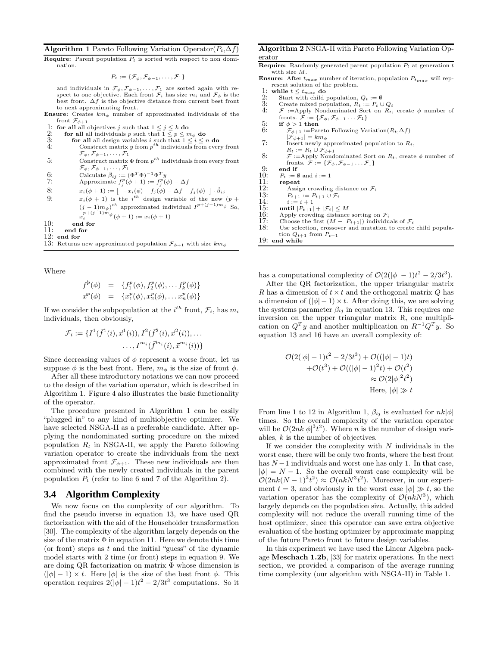#### Algorithm 1 Pareto Following Variation Operator( $P_t, \Delta f$ )

**Require:** Parent population  $P_t$  is sorted with respect to non domination.

$$
P_t := \{ \mathcal{F}_{\phi}, \mathcal{F}_{\phi-1}, \ldots, \mathcal{F}_1 \}
$$

and individuals in  $\mathcal{F}_{\phi}, \mathcal{F}_{\phi-1}, \ldots, \mathcal{F}_{1}$  are sorted again with respect to one objective. Each front  $\mathcal{F}_i$  has size  $m_i$  and  $\mathcal{F}_\phi$  is the best front.  $\Delta f$  is the objective distance from current best front to next approximating front.

- **Ensure:** Creates  $km_{\phi}$  number of approximated individuals of the front  $\mathcal{F}_{\phi+1}$
- 1: for all all objectives j such that  $1 \leq j \leq k$  do 2: for all all individuals p such that  $1 \leq p \leq n$
- 2: for all all individuals p such that  $1 \leq p \leq m_{\phi}$  do
- 3: **for all** all design variables i such that  $1 \leq i \leq n$  do 4: Construct matrix y from  $p^{th}$  individuals from every front  $\mathcal{F}_{\phi}, \mathcal{F}_{\phi-1}, \ldots, \mathcal{F}_{1}$ 5: Construct matrix  $\Phi$  from  $p^{th}$  individuals from every front
- $\mathcal{F}_{\phi}, \mathcal{F}_{\phi-1}, \ldots, \mathcal{F}_{1}$
- 6: Calculate  $\hat{\beta}_{ij} := (\Phi^T \Phi)^{-1} \Phi^T y$
- 7: Approximate  $f_j^p(\phi+1) := f_j^p(\phi) \Delta f$
- 8:  $x_i(\phi+1) := \begin{bmatrix} -x_i(\phi) & f_j(\phi) \Delta f & f_j(\phi) \end{bmatrix} \cdot \hat{\beta}_{ij}$
- 9:  $x_i(\phi + 1)$  is the i<sup>th</sup> design variable of the new  $(p + 1)$  $(j-1)m_{\phi})^{th}$  approximated individual  $I^{p+(j-1)m_{\phi}}$  So,
- $x_i^{p+(j-1)m_{\phi}}(\phi+1) := x_i(\phi+1)$
- 10: end for<br>11: end for
- 11: end for<br>12: end for
- end for
- 13: Returns new approximated population  $\mathcal{F}_{\phi+1}$  with size  $km_{\phi}$

Where

$$
\vec{f}^{p}(\phi) = \{f_1^{p}(\phi), f_2^{p}(\phi), \dots, f_k^{p}(\phi)\}\n\vec{x}^{p}(\phi) = \{x_1^{p}(\phi), x_2^{p}(\phi), \dots, x_n^{p}(\phi)\}\n\}
$$

If we consider the subpopulation at the  $i^{th}$  front,  $\mathcal{F}_i$ , has  $m_i$ individuals, then obviously,

$$
\mathcal{F}_i := \{I^1(\bar{f}^1(i), \bar{x}^1(i)), I^2(\bar{f}^2(i), \bar{x}^2(i)), \dots
$$

$$
\dots, I^{m_i}(\bar{f}^{m_i}(i), \bar{x}^{m_i}(i))\}
$$

Since decreasing values of  $\phi$  represent a worse front, let us suppose  $\phi$  is the best front. Here,  $m_{\phi}$  is the size of front  $\phi$ .

After all these introductory notations we can now proceed to the design of the variation operator, which is described in Algorithm 1. Figure 4 also illustrates the basic functionality of the operator.

The procedure presented in Algorithm 1 can be easily "plugged in" to any kind of multiobjective optimizer. We have selected NSGA-II as a preferable candidate. After applying the nondominated sorting procedure on the mixed population  $R_t$  in NSGA-II, we apply the Pareto following variation operator to create the individuals from the next approximated front  $\mathcal{F}_{\phi+1}$ . These new individuals are then combined with the newly created individuals in the parent population  $P_t$  (refer to line 6 and 7 of the Algorithm 2).

### **3.4 Algorithm Complexity**

We now focus on the complexity of our algorithm. To find the pseudo inverse in equation 13, we have used QR factorization with the aid of the Householder transformation [30]. The complexity of the algorithm largely depends on the size of the matrix  $\Phi$  in equation 11. Here we denote this time (or front) steps as  $t$  and the initial "guess" of the dynamic model starts with 2 time (or front) steps in equation 9. We are doing QR factorization on matrix Φ whose dimension is  $(|\phi| - 1) \times t$ . Here  $|\phi|$  is the size of the best front  $\phi$ . This operation requires  $2(|\phi| - 1)t^2 - 2/3t^3$  computations. So it

#### Algorithm 2 NSGA-II with Pareto Following Variation Operator

**Require:** Randomly generated parent population  $P_t$  at generation  $t$ with size M.

- **Ensure:** After  $t_{max}$  number of iteration, population  $P_{t_{max}}$  will represent solution of the problem.
- 1: while  $t \leq t_{max}$  do<br>2: Start with child u
- 2: Start with child population,  $Q_t := \emptyset$ <br>3: Create mixed population,  $R_t := P_t \cup$
- 3: Create mixed population,  $R_t := P_t \cup Q_t$ <br>4:  $\mathcal{F} :=$ Apply Nondominated Sort on  $R_t$ , create  $\phi$  number of
- fronts.  $\hat{\mathcal{F}} := \{ \mathcal{F}_{\phi}, \mathcal{F}_{\phi-1} \dots \mathcal{F}_1 \}$
- 5: if  $\phi > 1$  then<br>6:  $\mathcal{F}_{\phi+1} := \text{Par}$
- $\mathcal{F}_{\phi+1}$ :=Pareto Following Variation $(R_t, \Delta f)$  $|\mathcal{F}_{\phi+1}| = km_{\phi}$
- 7: Insert newly approximated population to  $R_t$ ,
- $R_t := R_t \cup \mathcal{F}_{\phi+1}$ <br>8:  $\mathcal{F} := \text{Apply Nondominated Sort on } R_t$ , create  $\phi$  number of fronts.  $\mathcal{F} := \{ \mathcal{F}_{\phi}, \mathcal{F}_{\phi-1} \dots \mathcal{F}_1 \}$
- 9: end if<br>10:  $P_t := \emptyset$
- 10:  $P_t := \emptyset$  and  $i := 1$ <br>11: **repeat**
- 11:  $\begin{array}{cc} \text{repeat} \\ 12: \end{array}$  Assig
- 12: Assign crowding distance on  $\mathcal{F}_i$ <br>13:  $P_{t+1} := P_{t+1} \cup \mathcal{F}_i$
- 13:  $P_{t+1} := P_{t+1} \cup \mathcal{F}_i$ <br>14:  $i := i + 1$
- 14:  $i := i + 1$ <br>15: **until**  $|P_{t+1}|$
- 15: **until**  $|P_{t+1}| + |\mathcal{F}_i| \leq M$ <br>16: Apply crowding distance
- 16: Apply crowding distance sorting on  $\mathcal{F}_i$ <br>17: Choose the first  $(M |P_{t+1}|)$  individu
- 17: Choose the first  $(M |P_{t+1}|)$  individuals of  $\mathcal{F}_i$ <br>18: Use selection, crossover and mutation to create
- Use selection, crossover and mutation to create child population  $Q_{t+1}$  from  $P_{t+1}$

19: end while

has a computational complexity of  $\mathcal{O}(2(|\phi| - 1)t^2 - 2/3t^3)$ .

After the QR factorization, the upper triangular matrix R has a dimension of  $t \times t$  and the orthogonal matrix Q has a dimension of  $(|\phi| - 1) \times t$ . After doing this, we are solving the systems parameter  $\beta_{ij}$  in equation 13. This requires one inversion on the upper triangular matrix R, one multiplication on  $Q^T y$  and another multiplication on  $R^{-1} Q^T y$ . So equation 13 and 16 have an overall complexity of:

$$
\mathcal{O}(2(|\phi|-1)t^2 - 2/3t^3) + \mathcal{O}((|\phi|-1)t)
$$
  
+
$$
\mathcal{O}(t^3) + \mathcal{O}((|\phi|-1)^2t) + \mathcal{O}(t^2)
$$
  

$$
\approx \mathcal{O}(2|\phi|^2t^2)
$$
  
Here,  $|\phi| \gg t$ 

From line 1 to 12 in Algorithm 1,  $\beta_{ij}$  is evaluated for  $nk|\phi|$ times. So the overall complexity of the variation operator will be  $\mathcal{O}(2nk|\phi|^3 t^2)$ . Where *n* is the number of design variables, k is the number of objectives.

If we consider the complexity with  $N$  individuals in the worst case, there will be only two fronts, where the best front has  $N-1$  individuals and worst one has only 1. In that case,  $|\phi| = N - 1$ . So the overall worst case complexity will be  $\mathcal{O}(2nk(N-1)^3t^2) \approx \mathcal{O}(nkN^3t^2)$ . Moreover, in our experiment  $t = 3$ , and obviously in the worst case  $|\phi| \gg t$ , so the variation operator has the complexity of  $\mathcal{O}(n k N^3)$ , which largely depends on the population size. Actually, this added complexity will not reduce the overall running time of the host optimizer, since this operator can save extra objective evaluation of the hosting optimizer by approximate mapping of the future Pareto front to future design variables.

In this experiment we have used the Linear Algebra package Meschach 1.2b, [33] for matrix operations. In the next section, we provided a comparison of the average running time complexity (our algorithm with NSGA-II) in Table 1.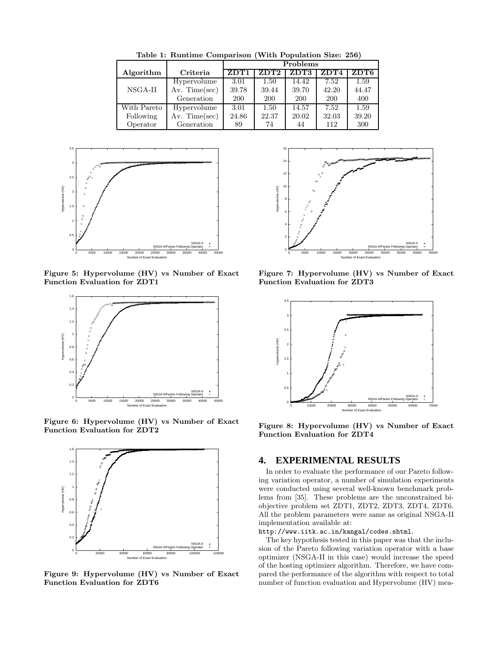| $1.1221 + 0.02221 + 0.0001 + 0.0001 + 0.0001 + 0.0001 + 0.0001 + 0.0001 + 0.0001 + 0.0001 + 0.0001 + 0.0001 + 0.0001 + 0.0001 + 0.0001 + 0.0001 + 0.0001 + 0.0001 + 0.0001 + 0.0001 + 0.0001 + 0.0001 + 0.0001 + 0.0001 + 0.0001 + 0.0001 + 0.0001 + 0.0$ |                   |            |            |            |            |       |
|-----------------------------------------------------------------------------------------------------------------------------------------------------------------------------------------------------------------------------------------------------------|-------------------|------------|------------|------------|------------|-------|
|                                                                                                                                                                                                                                                           |                   | Problems   |            |            |            |       |
| Algorithm                                                                                                                                                                                                                                                 | Criteria          | ZDT1       | ZDT2       | ZDT3       | ZDT4       | ZDT6  |
|                                                                                                                                                                                                                                                           | Hypervolume       | 3.01       | 1.50       | 14.42      | 7.52       | 1.59  |
| $NSGA-II$                                                                                                                                                                                                                                                 | Av. Time $(\sec)$ | 39.78      | 39.44      | 39.70      | 42.20      | 44.47 |
|                                                                                                                                                                                                                                                           | Generation        | <b>200</b> | <b>200</b> | <b>200</b> | <b>200</b> | 400   |
| With Pareto                                                                                                                                                                                                                                               | Hypervolume       | 3.01       | 1.50       | 14.57      | 7.52       | 1.59  |
| Following                                                                                                                                                                                                                                                 | Av. Time $(\sec)$ | 24.86      | 22.37      | 20.02      | 32.03      | 39.20 |
| Operator                                                                                                                                                                                                                                                  | Generation        | 89         | 74         | 44         | 112        | 300   |

Table 1: Runtime Comparison (With Population Size: 256)



Figure 5: Hypervolume (HV) vs Number of Exact Function Evaluation for ZDT1



Figure 6: Hypervolume (HV) vs Number of Exact Function Evaluation for ZDT2



Figure 9: Hypervolume (HV) vs Number of Exact Function Evaluation for ZDT6



Figure 7: Hypervolume (HV) vs Number of Exact Function Evaluation for ZDT3



Figure 8: Hypervolume (HV) vs Number of Exact Function Evaluation for ZDT4

## **4. EXPERIMENTAL RESULTS**

In order to evaluate the performance of our Pareto following variation operator, a number of simulation experiments were conducted using several well-known benchmark problems from [35]. These problems are the unconstrained biobjective problem set ZDT1, ZDT2, ZDT3, ZDT4, ZDT6. All the problem parameters were same as original NSGA-II implementation available at:

#### http://www.iitk.ac.in/kangal/codes.shtml.

The key hypothesis tested in this paper was that the inclusion of the Pareto following variation operator with a base optimizer (NSGA-II in this case) would increase the speed of the hosting optimizer algorithm. Therefore, we have compared the performance of the algorithm with respect to total number of function evaluation and Hypervolume (HV) mea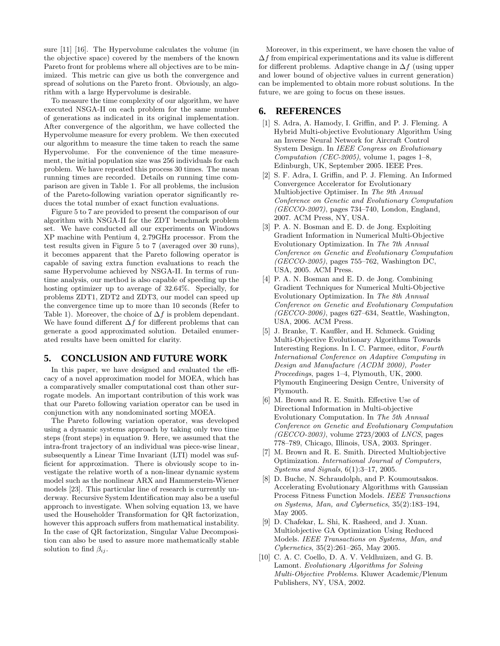sure [11] [16]. The Hypervolume calculates the volume (in the objective space) covered by the members of the known Pareto front for problems where all objectives are to be minimized. This metric can give us both the convergence and spread of solutions on the Pareto front. Obviously, an algorithm with a large Hypervolume is desirable.

To measure the time complexity of our algorithm, we have executed NSGA-II on each problem for the same number of generations as indicated in its original implementation. After convergence of the algorithm, we have collected the Hypervolume measure for every problem. We then executed our algorithm to measure the time taken to reach the same Hypervolume. For the convenience of the time measurement, the initial population size was 256 individuals for each problem. We have repeated this process 30 times. The mean running times are recorded. Details on running time comparison are given in Table 1. For all problems, the inclusion of the Pareto-following variation operator significantly reduces the total number of exact function evaluations.

Figure 5 to 7 are provided to present the comparison of our algorithm with NSGA-II for the ZDT benchmark problem set. We have conducted all our experiments on Windows XP machine with Pentium 4, 2.79GHz processor. From the test results given in Figure 5 to 7 (averaged over 30 runs), it becomes apparent that the Pareto following operator is capable of saving extra function evaluations to reach the same Hypervolume achieved by NSGA-II. In terms of runtime analysis, our method is also capable of speeding up the hosting optimizer up to average of 32.64%. Specially, for problems ZDT1, ZDT2 and ZDT3, our model can speed up the convergence time up to more than 10 seconds (Refer to Table 1). Moreover, the choice of  $\Delta f$  is problem dependant. We have found different  $\Delta f$  for different problems that can generate a good approximated solution. Detailed enumerated results have been omitted for clarity.

## **5. CONCLUSION AND FUTURE WORK**

In this paper, we have designed and evaluated the efficacy of a novel approximation model for MOEA, which has a comparatively smaller computational cost than other surrogate models. An important contribution of this work was that our Pareto following variation operator can be used in conjunction with any nondominated sorting MOEA.

The Pareto following variation operator, was developed using a dynamic systems approach by taking only two time steps (front steps) in equation 9. Here, we assumed that the intra-front trajectory of an individual was piece-wise linear, subsequently a Linear Time Invariant (LTI) model was sufficient for approximation. There is obviously scope to investigate the relative worth of a non-linear dynamic system model such as the nonlinear ARX and Hammerstein-Wiener models [23]. This particular line of research is currently underway. Recursive System Identification may also be a useful approach to investigate. When solving equation 13, we have used the Householder Transformation for QR factorization, however this approach suffers from mathematical instability. In the case of QR factorization, Singular Value Decomposition can also be used to assure more mathematically stable solution to find  $\beta_{ij}$ .

Moreover, in this experiment, we have chosen the value of  $\Delta f$  from empirical experimentations and its value is different for different problems. Adaptive change in  $\Delta f$  (using upper and lower bound of objective values in current generation) can be implemented to obtain more robust solutions. In the future, we are going to focus on these issues.

## **6. REFERENCES**

- [1] S. Adra, A. Hamody, I. Griffin, and P. J. Fleming. A Hybrid Multi-objective Evolutionary Algorithm Using an Inverse Neural Network for Aircraft Control System Design. In IEEE Congress on Evolutionary Computation (CEC-2005), volume 1, pages  $1-8$ , Edinburgh, UK, September 2005. IEEE Pres.
- [2] S. F. Adra, I. Griffin, and P. J. Fleming. An Informed Convergence Accelerator for Evolutionary Multiobjective Optimiser. In The 9th Annual Conference on Genetic and Evolutionary Computation (GECCO-2007), pages 734–740, London, England, 2007. ACM Press, NY, USA.
- [3] P. A. N. Bosman and E. D. de Jong. Exploiting Gradient Information in Numerical Multi-Objective Evolutionary Optimization. In The 7th Annual Conference on Genetic and Evolutionary Computation  $(GECCO-2005)$ , pages 755–762, Washington DC, USA, 2005. ACM Press.
- [4] P. A. N. Bosman and E. D. de Jong. Combining Gradient Techniques for Numerical Multi-Objective Evolutionary Optimization. In The 8th Annual Conference on Genetic and Evolutionary Computation  $(GECCO-2006)$ , pages 627–634, Seattle, Washington, USA, 2006. ACM Press.
- [5] J. Branke, T. Kaußler, and H. Schmeck. Guiding Multi-Objective Evolutionary Algorithms Towards Interesting Regions. In I. C. Parmee, editor, Fourth International Conference on Adaptive Computing in Design and Manufacture (ACDM 2000), Poster Proceedings, pages 1–4, Plymouth, UK, 2000. Plymouth Engineering Design Centre, University of Plymouth.
- [6] M. Brown and R. E. Smith. Effective Use of Directional Information in Multi-objective Evolutionary Computation. In The 5th Annual Conference on Genetic and Evolutionary Computation  $(GECCO-2003)$ , volume 2723/2003 of LNCS, pages 778–789, Chicago, Illinois, USA, 2003. Springer.
- [7] M. Brown and R. E. Smith. Directed Multiobjective Optimization. International Journal of Computers, Systems and Signals, 6(1):3–17, 2005.
- [8] D. Buche, N. Schraudolph, and P. Koumoutsakos. Accelerating Evolutionary Algorithms with Gaussian Process Fitness Function Models. IEEE Transactions on Systems, Man, and Cybernetics, 35(2):183–194, May 2005.
- [9] D. Chafekar, L. Shi, K. Rasheed, and J. Xuan. Multiobjective GA Optimization Using Reduced Models. IEEE Transactions on Systems, Man, and Cybernetics, 35(2):261–265, May 2005.
- [10] C. A. C. Coello, D. A. V. Veldhuizen, and G. B. Lamont. Evolutionary Algorithms for Solving Multi-Objective Problems. Kluwer Academic/Plenum Publishers, NY, USA, 2002.